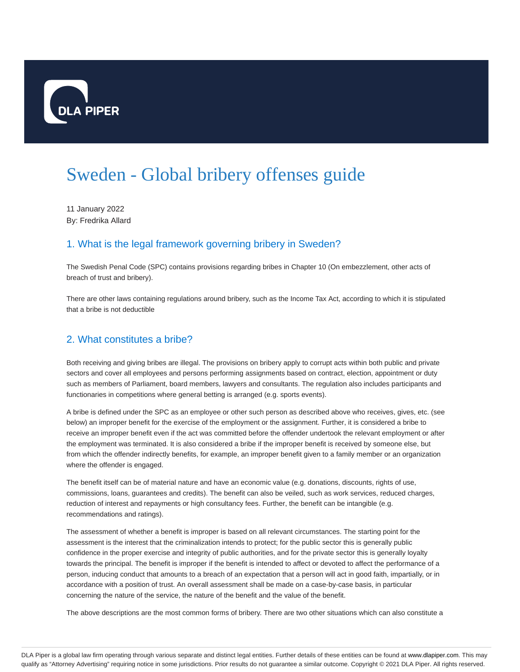

# Sweden - Global bribery offenses guide

11 January 2022 By: Fredrika Allard

# 1. What is the legal framework governing bribery in Sweden?

The Swedish Penal Code (SPC) contains provisions regarding bribes in Chapter 10 (On embezzlement, other acts of breach of trust and bribery).

There are other laws containing regulations around bribery, such as the Income Tax Act, according to which it is stipulated that a bribe is not deductible

## 2. What constitutes a bribe?

Both receiving and giving bribes are illegal. The provisions on bribery apply to corrupt acts within both public and private sectors and cover all employees and persons performing assignments based on contract, election, appointment or duty such as members of Parliament, board members, lawyers and consultants. The regulation also includes participants and functionaries in competitions where general betting is arranged (e.g. sports events).

A bribe is defined under the SPC as an employee or other such person as described above who receives, gives, etc. (see below) an improper benefit for the exercise of the employment or the assignment. Further, it is considered a bribe to receive an improper benefit even if the act was committed before the offender undertook the relevant employment or after the employment was terminated. It is also considered a bribe if the improper benefit is received by someone else, but from which the offender indirectly benefits, for example, an improper benefit given to a family member or an organization where the offender is engaged.

The benefit itself can be of material nature and have an economic value (e.g. donations, discounts, rights of use, commissions, loans, guarantees and credits). The benefit can also be veiled, such as work services, reduced charges, reduction of interest and repayments or high consultancy fees. Further, the benefit can be intangible (e.g. recommendations and ratings).

The assessment of whether a benefit is improper is based on all relevant circumstances. The starting point for the assessment is the interest that the criminalization intends to protect; for the public sector this is generally public confidence in the proper exercise and integrity of public authorities, and for the private sector this is generally loyalty towards the principal. The benefit is improper if the benefit is intended to affect or devoted to affect the performance of a person, inducing conduct that amounts to a breach of an expectation that a person will act in good faith, impartially, or in accordance with a position of trust. An overall assessment shall be made on a case-by-case basis, in particular concerning the nature of the service, the nature of the benefit and the value of the benefit.

The above descriptions are the most common forms of bribery. There are two other situations which can also constitute a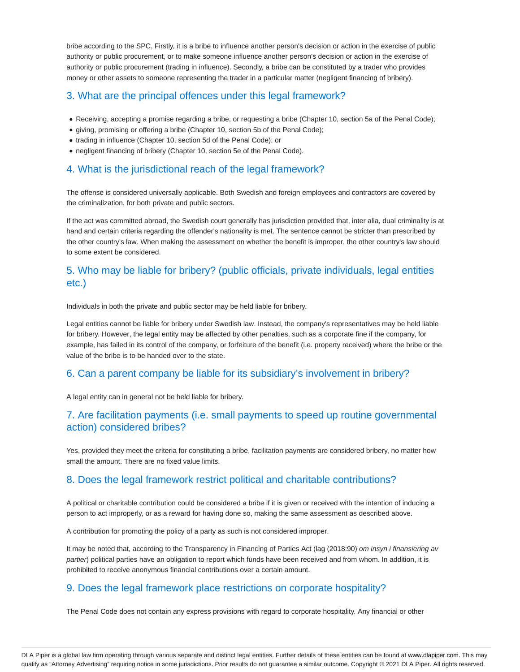bribe according to the SPC. Firstly, it is a bribe to influence another person's decision or action in the exercise of public authority or public procurement, or to make someone influence another person's decision or action in the exercise of authority or public procurement (trading in influence). Secondly, a bribe can be constituted by a trader who provides money or other assets to someone representing the trader in a particular matter (negligent financing of bribery).

#### 3. What are the principal offences under this legal framework?

- Receiving, accepting a promise regarding a bribe, or requesting a bribe (Chapter 10, section 5a of the Penal Code);
- giving, promising or offering a bribe (Chapter 10, section 5b of the Penal Code);
- trading in influence (Chapter 10, section 5d of the Penal Code); or
- negligent financing of bribery (Chapter 10, section 5e of the Penal Code).

#### 4. What is the jurisdictional reach of the legal framework?

The offense is considered universally applicable. Both Swedish and foreign employees and contractors are covered by the criminalization, for both private and public sectors.

If the act was committed abroad, the Swedish court generally has jurisdiction provided that, inter alia, dual criminality is at hand and certain criteria regarding the offender's nationality is met. The sentence cannot be stricter than prescribed by the other country's law. When making the assessment on whether the benefit is improper, the other country's law should to some extent be considered.

# 5. Who may be liable for bribery? (public officials, private individuals, legal entities etc.)

Individuals in both the private and public sector may be held liable for bribery.

Legal entities cannot be liable for bribery under Swedish law. Instead, the company's representatives may be held liable for bribery. However, the legal entity may be affected by other penalties, such as a corporate fine if the company, for example, has failed in its control of the company, or forfeiture of the benefit (i.e. property received) where the bribe or the value of the bribe is to be handed over to the state.

#### 6. Can a parent company be liable for its subsidiary's involvement in bribery?

A legal entity can in general not be held liable for bribery.

#### 7. Are facilitation payments (i.e. small payments to speed up routine governmental action) considered bribes?

Yes, provided they meet the criteria for constituting a bribe, facilitation payments are considered bribery, no matter how small the amount. There are no fixed value limits.

#### 8. Does the legal framework restrict political and charitable contributions?

A political or charitable contribution could be considered a bribe if it is given or received with the intention of inducing a person to act improperly, or as a reward for having done so, making the same assessment as described above.

A contribution for promoting the policy of a party as such is not considered improper.

It may be noted that, according to the Transparency in Financing of Parties Act (lag (2018:90) om insyn i finansiering av partier) political parties have an obligation to report which funds have been received and from whom. In addition, it is prohibited to receive anonymous financial contributions over a certain amount.

#### 9. Does the legal framework place restrictions on corporate hospitality?

The Penal Code does not contain any express provisions with regard to corporate hospitality. Any financial or other